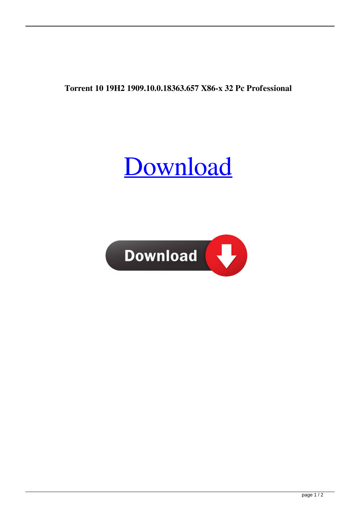**Torrent 10 19H2 1909.10.0.18363.657 X86-x 32 Pc Professional**